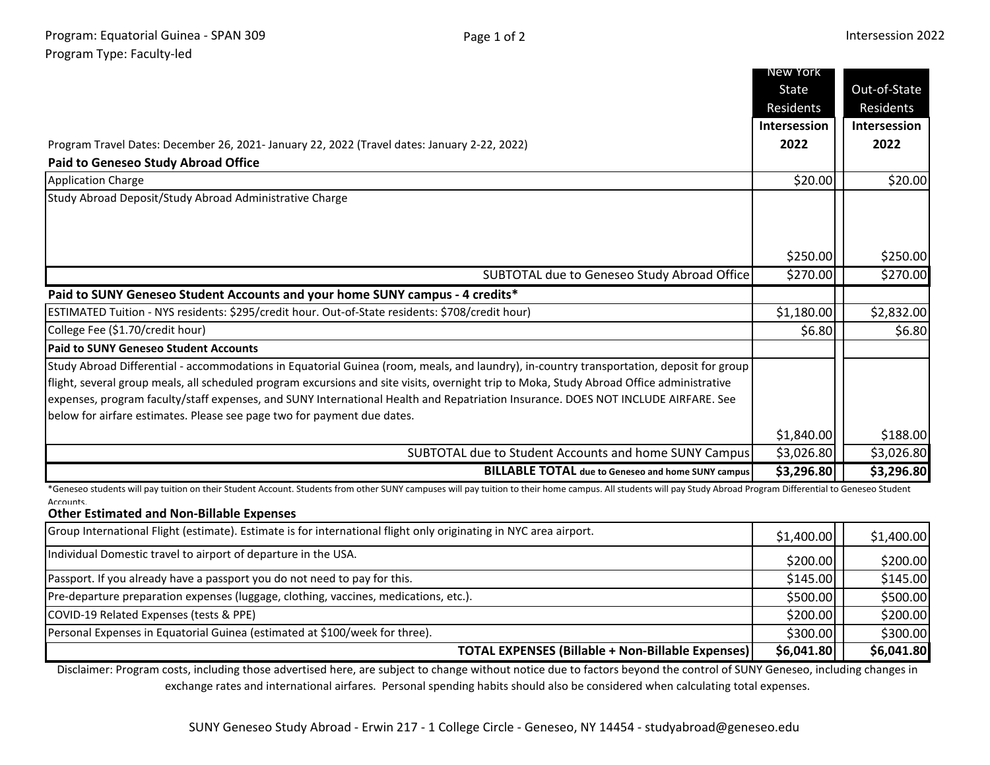**\$6,041.80 \$6,041.80**

|                                                                                                                                                                                                                  | New York     |              |
|------------------------------------------------------------------------------------------------------------------------------------------------------------------------------------------------------------------|--------------|--------------|
|                                                                                                                                                                                                                  | State        | Out-of-State |
|                                                                                                                                                                                                                  | Residents    | Residents    |
|                                                                                                                                                                                                                  | Intersession | Intersession |
| Program Travel Dates: December 26, 2021- January 22, 2022 (Travel dates: January 2-22, 2022)                                                                                                                     | 2022         | 2022         |
| <b>Paid to Geneseo Study Abroad Office</b>                                                                                                                                                                       |              |              |
| <b>Application Charge</b>                                                                                                                                                                                        | \$20.00      | \$20.00      |
| Study Abroad Deposit/Study Abroad Administrative Charge                                                                                                                                                          |              |              |
|                                                                                                                                                                                                                  |              |              |
|                                                                                                                                                                                                                  |              |              |
|                                                                                                                                                                                                                  | \$250.00     | \$250.00     |
| SUBTOTAL due to Geneseo Study Abroad Office                                                                                                                                                                      | \$270.00     | \$270.00     |
| Paid to SUNY Geneseo Student Accounts and your home SUNY campus - 4 credits*                                                                                                                                     |              |              |
| ESTIMATED Tuition - NYS residents: \$295/credit hour. Out-of-State residents: \$708/credit hour)                                                                                                                 | \$1,180.00   | \$2,832.00   |
| College Fee (\$1.70/credit hour)                                                                                                                                                                                 | \$6.80       | \$6.80       |
| <b>Paid to SUNY Geneseo Student Accounts</b>                                                                                                                                                                     |              |              |
| Study Abroad Differential - accommodations in Equatorial Guinea (room, meals, and laundry), in-country transportation, deposit for group                                                                         |              |              |
| flight, several group meals, all scheduled program excursions and site visits, overnight trip to Moka, Study Abroad Office administrative                                                                        |              |              |
| expenses, program faculty/staff expenses, and SUNY International Health and Repatriation Insurance. DOES NOT INCLUDE AIRFARE. See                                                                                |              |              |
| below for airfare estimates. Please see page two for payment due dates.                                                                                                                                          |              |              |
|                                                                                                                                                                                                                  | \$1,840.00   | \$188.00     |
| SUBTOTAL due to Student Accounts and home SUNY Campus                                                                                                                                                            | \$3,026.80   | \$3,026.80   |
| <b>BILLABLE TOTAL</b> due to Geneseo and home SUNY campus                                                                                                                                                        | \$3,296.80   | \$3,296.80   |
| *Geneseo students will pay tuition on their Student Account. Students from other SUNY campuses will pay tuition to their home campus. All students will pay Study Abroad Program Differential to Geneseo Student |              |              |
| Accounts.<br><b>Other Estimated and Non-Billable Expenses</b>                                                                                                                                                    |              |              |
| Group International Flight (estimate). Estimate is for international flight only originating in NYC area airport.                                                                                                | \$1,400.00   | \$1,400.00   |
| Individual Domestic travel to airport of departure in the USA.                                                                                                                                                   | \$200.00     | \$200.00     |
| Passport. If you already have a passport you do not need to pay for this.                                                                                                                                        | \$145.00     | \$145.00     |
| Pre-departure preparation expenses (luggage, clothing, vaccines, medications, etc.).                                                                                                                             | \$500.00     | \$500.00     |
| COVID-19 Related Expenses (tests & PPE)                                                                                                                                                                          | \$200.00     | \$200.00     |
| Personal Expenses in Equatorial Guinea (estimated at \$100/week for three).                                                                                                                                      | \$300.00     | \$300.00     |

Disclaimer: Program costs, including those advertised here, are subject to change without notice due to factors beyond the control of SUNY Geneseo, including changes in exchange rates and international airfares. Personal spending habits should also be considered when calculating total expenses.

**TOTAL EXPENSES (Billable + Non-Billable Expenses)**